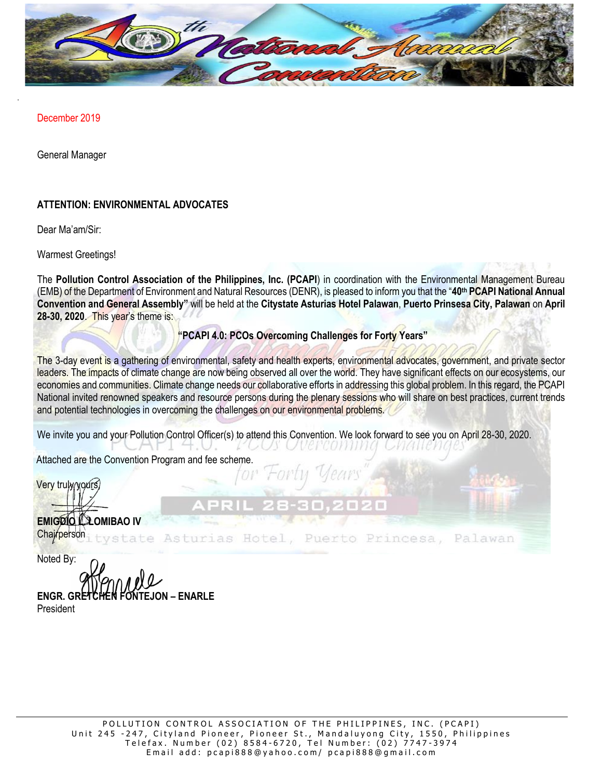

December 2019

General Manager

# **ATTENTION: ENVIRONMENTAL ADVOCATES**

Dear Ma'am/Sir:

Warmest Greetings!

The **Pollution Control Association of the Philippines, Inc. (PCAPI**) in coordination with the Environmental Management Bureau (EMB) of the Department of Environment and Natural Resources (DENR), is pleased to inform you that the "**40th PCAPI National Annual Convention and General Assembly"** will be held at the **Citystate Asturias Hotel Palawan**, **Puerto Prinsesa City, Palawan** on **April 28-30, 2020**. This year's theme is:

# **"PCAPI 4.0: PCOs Overcoming Challenges for Forty Years"**

The 3-day event is a gathering of environmental, safety and health experts, environmental advocates, government, and private sector leaders. The impacts of climate change are now being observed all over the world. They have significant effects on our ecosystems, our economies and communities. Climate change needs our collaborative efforts in addressing this global problem. In this regard, the PCAPI National invited renowned speakers and resource persons during the plenary sessions who will share on best practices, current trends and potential technologies in overcoming the challenges on our environmental problems.

We invite you and your Pollution Control Officer(s) to attend this Convention. We look forward to see you on April 28-30, 2020.

Attached are the Convention Program and fee scheme.

Very trulw yours

**EMIGRIO LA OMIBAO IV** Chajrperson

urias Hotel, Palawan Puerto Princesa,

Noted By: **ENGR. GRETCHEN FONTEJON – ENARLE** President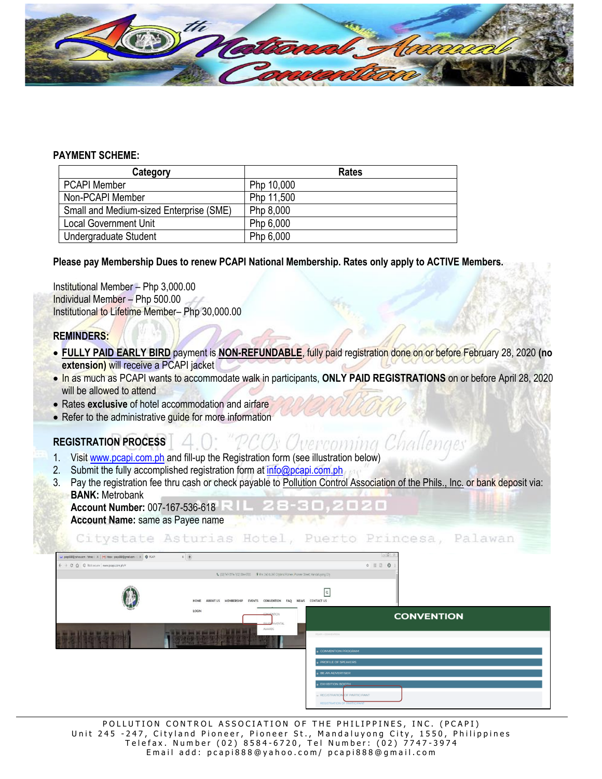

#### **PAYMENT SCHEME:**

| Category                                | <b>Rates</b> |  |
|-----------------------------------------|--------------|--|
| <b>PCAPI Member</b>                     | Php 10,000   |  |
| Non-PCAPI Member                        | Php 11,500   |  |
| Small and Medium-sized Enterprise (SME) | Php 8,000    |  |
| <b>Local Government Unit</b>            | Php 6,000    |  |
| Undergraduate Student                   | Php 6,000    |  |

### **Please pay Membership Dues to renew PCAPI National Membership. Rates only apply to ACTIVE Members.**

Institutional Member – Php 3,000.00 Individual Member – Php 500.00 Institutional to Lifetime Member– Php 30,000.00

### **REMINDERS:**

- **FULLY PAID EARLY BIRD** payment is **NON-REFUNDABLE**, fully paid registration done on or before February 28, 2020 **(no extension)** will receive a PCAPI jacket
- In as much as PCAPI wants to accommodate walk in participants, **ONLY PAID REGISTRATIONS** on or before April 28, 2020 will be allowed to attend
- Rates **exclusive** of hotel accommodation and airfare
- Refer to the administrative guide for more information

# **REGISTRATION PROCESS**

- 1. Visi[t www.pcapi.com.ph](http://www.pcapi.com.ph/) and fill-up the Registration form (see illustration below)
- 2. Submit the fully accomplished registration form a[t info@pcapi.com.ph](mailto:info@pcapi.com.ph)
- 3. Pay the registration fee thru cash or check payable to Pollution Control Association of the Phils., Inc. or bank deposit via: **BANK:** Metrobank **Account Number:** 007-167-536-618
	- **Account Name:** same as Payee name

Citystate Asturias Hotel, Puerto Princesa, Palawan

| M prap888@yahoo.com - Yahoo   X   M Inbox - prapi888@gmail.com - 0 X   @ PCAR | $x +$                                                                  | $-97$                                                                                                                    |
|-------------------------------------------------------------------------------|------------------------------------------------------------------------|--------------------------------------------------------------------------------------------------------------------------|
| ← → C △ © Not secure   www.pcapi.com.ph/#                                     |                                                                        | ☆ Ⅲ 回   ◎                                                                                                                |
|                                                                               |                                                                        |                                                                                                                          |
|                                                                               | ABOUT US MEMBERSHIP EVENTS CONVENTION FAQ NEWS CONTACT US<br>HOME      | $\alpha$                                                                                                                 |
|                                                                               | LOCIN<br>CONNENTION<br><b>ENVIRO</b><br><b>MENTAL</b><br><b>AWARDS</b> | <b>CONVENTION</b>                                                                                                        |
|                                                                               |                                                                        | PCAPE > CONVENTION<br><b>CONVENTION PROGRAM</b>                                                                          |
|                                                                               |                                                                        | <b>B PROFILE OF SPEAKERS</b>                                                                                             |
|                                                                               |                                                                        | <b>&amp; BE AN ADVERTISER</b><br><b>EXHIBITION BOOTH</b><br>- REGISTRATION OF PARTICIPANT<br>REGISTRATION OF PARTICIPANT |

POLLUTION CONTROL ASSOCIATION OF THE PHILIPPINES, INC. (PCAPI) Unit 245 -247, Cityland Pioneer, Pioneer St., Mandaluyong City, 1550, Philippines Telefax. Number (02) 8584-6720, Tel Number: (02) 7747-3974 Email add: pcapi888@yahoo.com/ pcapi888@gmail.com